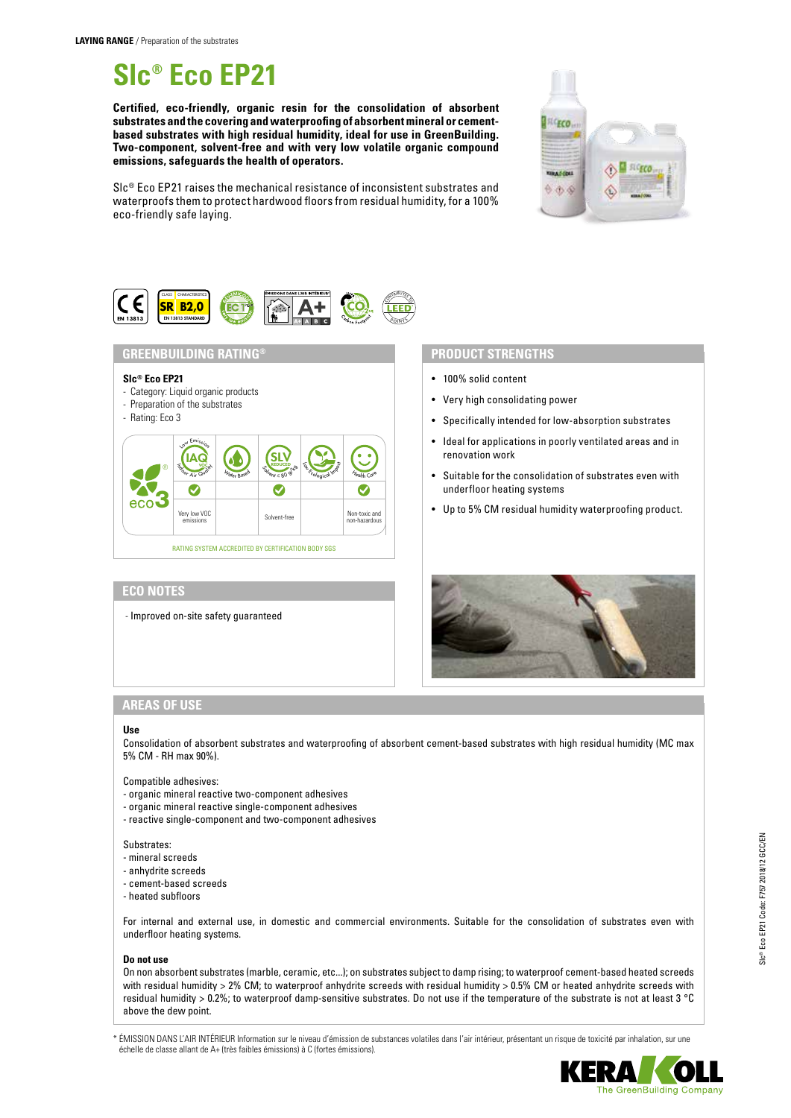# **Slc® Eco EP21**

**Certified, eco-friendly, organic resin for the consolidation of absorbent substrates and the covering and waterproofing of absorbent mineral or cementbased substrates with high residual humidity, ideal for use in GreenBuilding. Two-component, solvent-free and with very low volatile organic compound emissions, safeguards the health of operators.**



Slc® Eco EP21 raises the mechanical resistance of inconsistent substrates and waterproofs them to protect hardwood floors from residual humidity, for a 100% eco-friendly safe laying.



# **GREENBUILDING RATING®**

## **Slc® Eco EP21**

- Category: Liquid organic products

# - Preparation of the substrates

- Rating: Eco 3



## **ECO NOTES**

- Improved on-site safety guaranteed

## **PRODUCT STRENGTHS**

- 100% solid content
- Very high consolidating power
- Specifically intended for low-absorption substrates
- Ideal for applications in poorly ventilated areas and in renovation work
- Suitable for the consolidation of substrates even with underfloor heating systems
- Up to 5% CM residual humidity waterproofing product.



## **AREAS OF USE**

### **Use**

Consolidation of absorbent substrates and waterproofing of absorbent cement-based substrates with high residual humidity (MC max 5% CM - RH max 90%).

#### Compatible adhesives:

- organic mineral reactive two-component adhesives
- organic mineral reactive single-component adhesives
- reactive single-component and two-component adhesives

#### Substrates:

- mineral screeds
- anhydrite screeds
- cement-based screeds
- heated subfloors

For internal and external use, in domestic and commercial environments. Suitable for the consolidation of substrates even with underfloor heating systems.

#### **Do not use**

On non absorbent substrates (marble, ceramic, etc...); on substrates subject to damp rising; to waterproof cement-based heated screeds with residual humidity > 2% CM; to waterproof anhydrite screeds with residual humidity > 0.5% CM or heated anhydrite screeds with residual humidity > 0.2%; to waterproof damp-sensitive substrates. Do not use if the temperature of the substrate is not at least 3 °C above the dew point.

\* ÉMISSION DANS L'AIR INTÉRIEUR Information sur le niveau d'émission de substances volatiles dans l'air intérieur, présentant un risque de toxicité par inhalation, sur une échelle de classe allant de A+ (très faibles émissions) à C (fortes émissions).

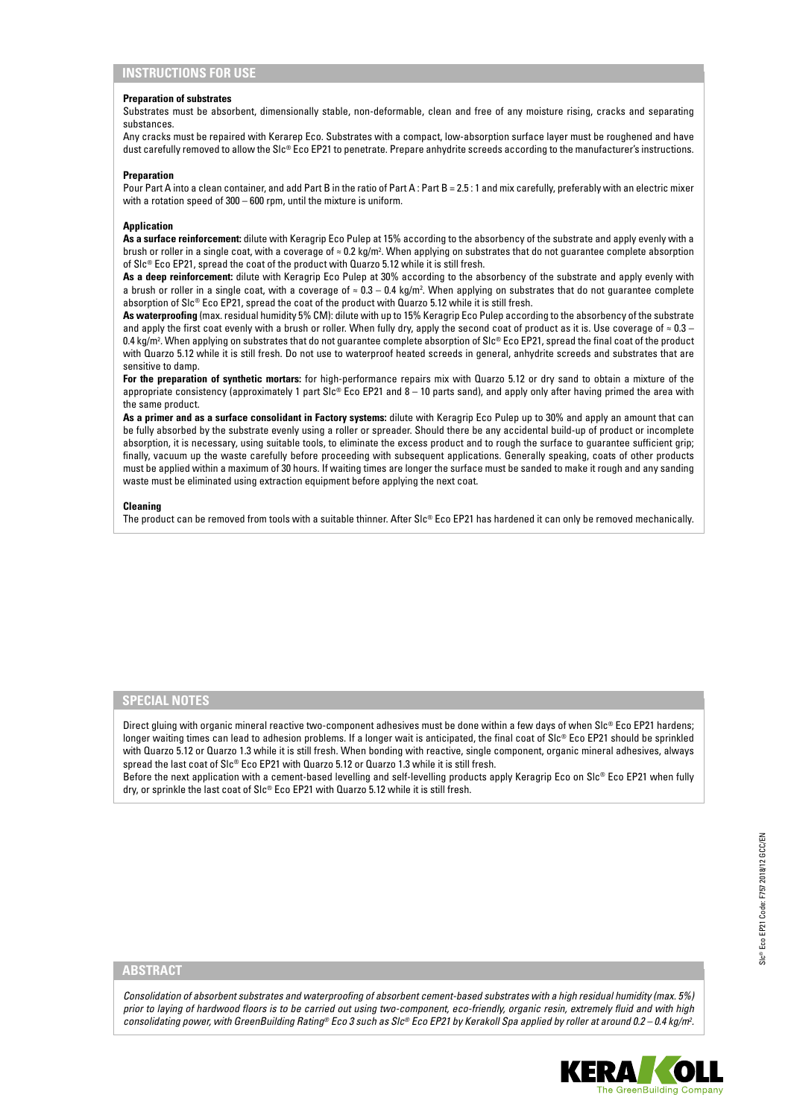#### **Preparation of substrates**

Substrates must be absorbent, dimensionally stable, non-deformable, clean and free of any moisture rising, cracks and separating substances.

Any cracks must be repaired with Kerarep Eco. Substrates with a compact, low-absorption surface layer must be roughened and have dust carefully removed to allow the SIc® Eco EP21 to penetrate. Prepare anhydrite screeds according to the manufacturer's instructions.

#### **Preparation**

Pour Part A into a clean container, and add Part B in the ratio of Part A : Part B = 2.5 : 1 and mix carefully, preferably with an electric mixer with a rotation speed of 300 – 600 rpm, until the mixture is uniform.

#### **Application**

**As a surface reinforcement:** dilute with Keragrip Eco Pulep at 15% according to the absorbency of the substrate and apply evenly with a brush or roller in a single coat, with a coverage of ≈ 0.2 kg/m². When applying on substrates that do not guarantee complete absorption of Slc® Eco EP21, spread the coat of the product with Quarzo 5.12 while it is still fresh.

**As a deep reinforcement:** dilute with Keragrip Eco Pulep at 30% according to the absorbency of the substrate and apply evenly with a brush or roller in a single coat, with a coverage of  $\approx 0.3-0.4$  kg/m<sup>2</sup>. When applying on substrates that do not guarantee complete absorption of Slc® Eco EP21, spread the coat of the product with Quarzo 5.12 while it is still fresh.

**As waterproofing** (max. residual humidity 5% CM): dilute with up to 15% Keragrip Eco Pulep according to the absorbency of the substrate and apply the first coat evenly with a brush or roller. When fully dry, apply the second coat of product as it is. Use coverage of  $\approx 0.3$  – 0.4 kg/m2 . When applying on substrates that do not guarantee complete absorption of Slc® Eco EP21, spread the final coat of the product with Quarzo 5.12 while it is still fresh. Do not use to waterproof heated screeds in general, anhydrite screeds and substrates that are sensitive to damp.

**For the preparation of synthetic mortars:** for high-performance repairs mix with Quarzo 5.12 or dry sand to obtain a mixture of the appropriate consistency (approximately 1 part Slc® Eco EP21 and 8 – 10 parts sand), and apply only after having primed the area with the same product.

**As a primer and as a surface consolidant in Factory systems:** dilute with Keragrip Eco Pulep up to 30% and apply an amount that can be fully absorbed by the substrate evenly using a roller or spreader. Should there be any accidental build-up of product or incomplete absorption, it is necessary, using suitable tools, to eliminate the excess product and to rough the surface to guarantee sufficient grip; finally, vacuum up the waste carefully before proceeding with subsequent applications. Generally speaking, coats of other products must be applied within a maximum of 30 hours. If waiting times are longer the surface must be sanded to make it rough and any sanding waste must be eliminated using extraction equipment before applying the next coat.

#### **Cleaning**

The product can be removed from tools with a suitable thinner. After Slc® Eco EP21 has hardened it can only be removed mechanically.

## **SPECIAL NOTES**

Direct gluing with organic mineral reactive two-component adhesives must be done within a few days of when Slc® Eco EP21 hardens; longer waiting times can lead to adhesion problems. If a longer wait is anticipated, the final coat of Slc® Eco EP21 should be sprinkled with Quarzo 5.12 or Quarzo 1.3 while it is still fresh. When bonding with reactive, single component, organic mineral adhesives, always spread the last coat of Slc® Eco EP21 with Quarzo 5.12 or Quarzo 1.3 while it is still fresh.

Before the next application with a cement-based levelling and self-levelling products apply Keragrip Eco on Slc® Eco EP21 when fully dry, or sprinkle the last coat of Slc® Eco EP21 with Quarzo 5.12 while it is still fresh.

## **ABSTRACT**

*Consolidation of absorbent substrates and waterproofing of absorbent cement-based substrates with a high residual humidity (max. 5%) prior to laying of hardwood floors is to be carried out using two-component, eco-friendly, organic resin, extremely fluid and with high consolidating power, with GreenBuilding Rating® Eco 3 such as Slc® Eco EP21 by Kerakoll Spa applied by roller at around 0.2 – 0.4 kg/m2 .*